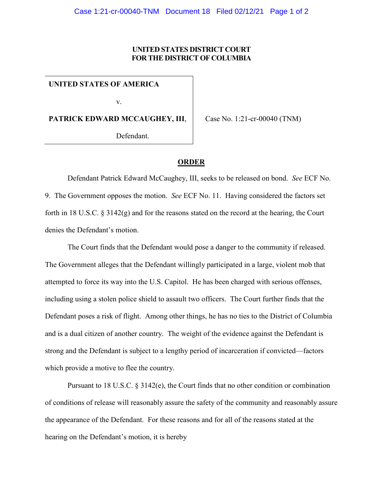## **UNITED STATES DISTRICT COURT FOR THE DISTRICT OF COLUMBIA**

**UNITED STATES OF AMERICA**

v.

**PATRICK EDWARD MCCAUGHEY, III**,

Case No. 1:21-cr-00040 (TNM)

Defendant.

## **ORDER**

Defendant Patrick Edward McCaughey, III, seeks to be released on bond. *See* ECF No. 9. The Government opposes the motion. *See* ECF No. 11. Having considered the factors set forth in 18 U.S.C. § 3142(g) and for the reasons stated on the record at the hearing, the Court denies the Defendant's motion.

The Court finds that the Defendant would pose a danger to the community if released. The Government alleges that the Defendant willingly participated in a large, violent mob that attempted to force its way into the U.S. Capitol. He has been charged with serious offenses, including using a stolen police shield to assault two officers. The Court further finds that the Defendant poses a risk of flight. Among other things, he has no ties to the District of Columbia and is a dual citizen of another country. The weight of the evidence against the Defendant is strong and the Defendant is subject to a lengthy period of incarceration if convicted—factors which provide a motive to flee the country.

Pursuant to 18 U.S.C. § 3142(e), the Court finds that no other condition or combination of conditions of release will reasonably assure the safety of the community and reasonably assure the appearance of the Defendant. For these reasons and for all of the reasons stated at the hearing on the Defendant's motion, it is hereby